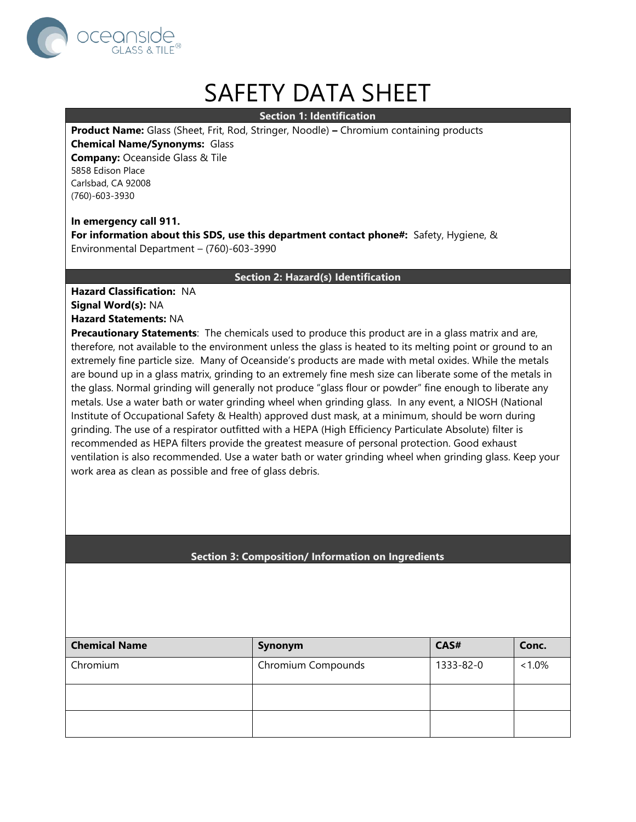

# SAFETY DATA SHEET

**Section 1: Identification**

**Product Name:** Glass (Sheet, Frit, Rod, Stringer, Noodle) **–** Chromium containing products

**Chemical Name/Synonyms:** Glass **Company:** Oceanside Glass & Tile

5858 Edison Place Carlsbad, CA 92008 (760)-603-3930

## **In emergency call 911.**

**For information about this SDS, use this department contact phone#:** Safety, Hygiene, & Environmental Department – (760)-603-3990

## **Section 2: Hazard(s) Identification**

**Hazard Classification:** NA **Signal Word(s):** NA **Hazard Statements:** NA

**Precautionary Statements**: The chemicals used to produce this product are in a glass matrix and are, therefore, not available to the environment unless the glass is heated to its melting point or ground to an extremely fine particle size. Many of Oceanside's products are made with metal oxides. While the metals are bound up in a glass matrix, grinding to an extremely fine mesh size can liberate some of the metals in the glass. Normal grinding will generally not produce "glass flour or powder" fine enough to liberate any metals. Use a water bath or water grinding wheel when grinding glass. In any event, a NIOSH (National Institute of Occupational Safety & Health) approved dust mask, at a minimum, should be worn during grinding. The use of a respirator outfitted with a HEPA (High Efficiency Particulate Absolute) filter is recommended as HEPA filters provide the greatest measure of personal protection. Good exhaust ventilation is also recommended. Use a water bath or water grinding wheel when grinding glass. Keep your work area as clean as possible and free of glass debris.

# **Section 3: Composition/ Information on Ingredients**

| <b>Chemical Name</b> | Synonym            | CAS#      | Conc.     |
|----------------------|--------------------|-----------|-----------|
| Chromium             | Chromium Compounds | 1333-82-0 | $< 1.0\%$ |
|                      |                    |           |           |
|                      |                    |           |           |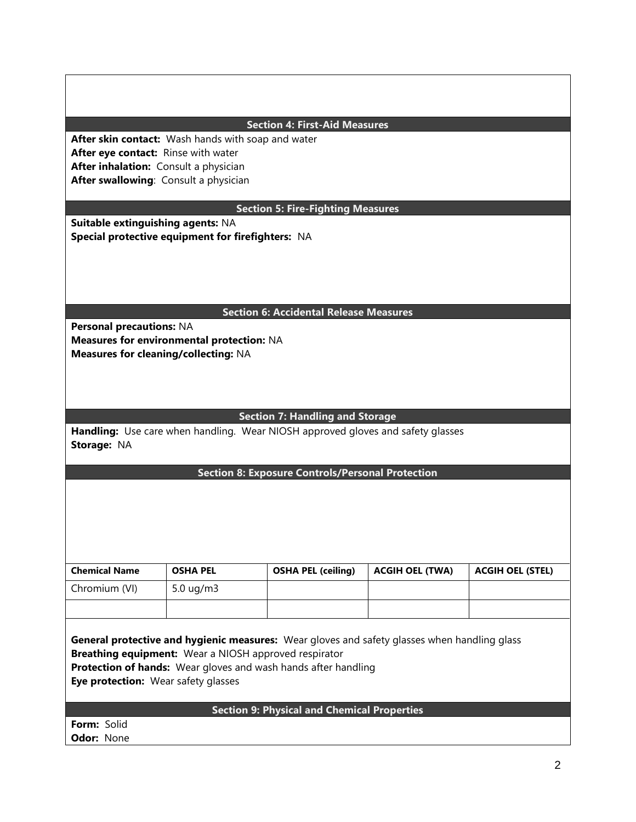| <b>Section 4: First-Aid Measures</b>                                                         |                                           |                                                                                 |                        |                         |  |  |  |
|----------------------------------------------------------------------------------------------|-------------------------------------------|---------------------------------------------------------------------------------|------------------------|-------------------------|--|--|--|
| After skin contact: Wash hands with soap and water                                           |                                           |                                                                                 |                        |                         |  |  |  |
| After eye contact: Rinse with water                                                          |                                           |                                                                                 |                        |                         |  |  |  |
|                                                                                              | After inhalation: Consult a physician     |                                                                                 |                        |                         |  |  |  |
| After swallowing: Consult a physician                                                        |                                           |                                                                                 |                        |                         |  |  |  |
|                                                                                              |                                           |                                                                                 |                        |                         |  |  |  |
| <b>Section 5: Fire-Fighting Measures</b>                                                     |                                           |                                                                                 |                        |                         |  |  |  |
| Suitable extinguishing agents: NA                                                            |                                           |                                                                                 |                        |                         |  |  |  |
| Special protective equipment for firefighters: NA                                            |                                           |                                                                                 |                        |                         |  |  |  |
|                                                                                              |                                           |                                                                                 |                        |                         |  |  |  |
|                                                                                              |                                           |                                                                                 |                        |                         |  |  |  |
|                                                                                              |                                           |                                                                                 |                        |                         |  |  |  |
|                                                                                              |                                           |                                                                                 |                        |                         |  |  |  |
|                                                                                              |                                           | <b>Section 6: Accidental Release Measures</b>                                   |                        |                         |  |  |  |
| Personal precautions: NA                                                                     |                                           |                                                                                 |                        |                         |  |  |  |
|                                                                                              | Measures for environmental protection: NA |                                                                                 |                        |                         |  |  |  |
| <b>Measures for cleaning/collecting: NA</b>                                                  |                                           |                                                                                 |                        |                         |  |  |  |
|                                                                                              |                                           |                                                                                 |                        |                         |  |  |  |
|                                                                                              |                                           |                                                                                 |                        |                         |  |  |  |
|                                                                                              |                                           |                                                                                 |                        |                         |  |  |  |
|                                                                                              |                                           |                                                                                 |                        |                         |  |  |  |
|                                                                                              |                                           | <b>Section 7: Handling and Storage</b>                                          |                        |                         |  |  |  |
|                                                                                              |                                           | Handling: Use care when handling. Wear NIOSH approved gloves and safety glasses |                        |                         |  |  |  |
| Storage: NA                                                                                  |                                           |                                                                                 |                        |                         |  |  |  |
|                                                                                              |                                           |                                                                                 |                        |                         |  |  |  |
|                                                                                              |                                           | <b>Section 8: Exposure Controls/Personal Protection</b>                         |                        |                         |  |  |  |
|                                                                                              |                                           |                                                                                 |                        |                         |  |  |  |
|                                                                                              |                                           |                                                                                 |                        |                         |  |  |  |
|                                                                                              |                                           |                                                                                 |                        |                         |  |  |  |
|                                                                                              |                                           |                                                                                 |                        |                         |  |  |  |
|                                                                                              |                                           |                                                                                 |                        |                         |  |  |  |
|                                                                                              |                                           |                                                                                 |                        |                         |  |  |  |
| <b>Chemical Name</b>                                                                         | <b>OSHA PEL</b>                           | <b>OSHA PEL (ceiling)</b>                                                       | <b>ACGIH OEL (TWA)</b> | <b>ACGIH OEL (STEL)</b> |  |  |  |
| Chromium (VI)                                                                                |                                           |                                                                                 |                        |                         |  |  |  |
|                                                                                              | 5.0 ug/m3                                 |                                                                                 |                        |                         |  |  |  |
|                                                                                              |                                           |                                                                                 |                        |                         |  |  |  |
|                                                                                              |                                           |                                                                                 |                        |                         |  |  |  |
| General protective and hygienic measures: Wear gloves and safety glasses when handling glass |                                           |                                                                                 |                        |                         |  |  |  |
| Breathing equipment: Wear a NIOSH approved respirator                                        |                                           |                                                                                 |                        |                         |  |  |  |
| Protection of hands: Wear gloves and wash hands after handling                               |                                           |                                                                                 |                        |                         |  |  |  |
| Eye protection: Wear safety glasses                                                          |                                           |                                                                                 |                        |                         |  |  |  |
|                                                                                              |                                           |                                                                                 |                        |                         |  |  |  |
| <b>Section 9: Physical and Chemical Properties</b>                                           |                                           |                                                                                 |                        |                         |  |  |  |
| Form: Solid                                                                                  |                                           |                                                                                 |                        |                         |  |  |  |
|                                                                                              |                                           |                                                                                 |                        |                         |  |  |  |
| Odor: None                                                                                   |                                           |                                                                                 |                        |                         |  |  |  |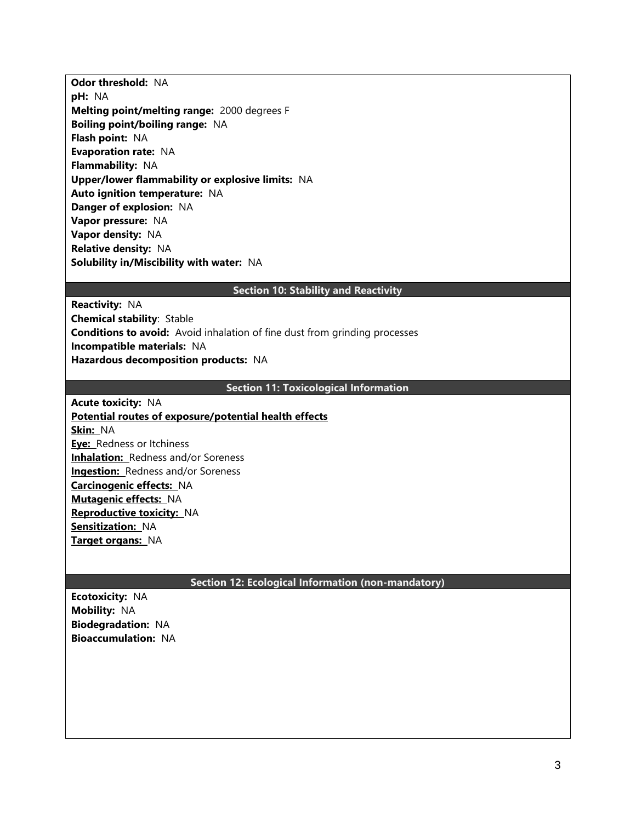**Odor threshold:** NA **pH:** NA **Melting point/melting range:** 2000 degrees F **Boiling point/boiling range:** NA **Flash point:** NA **Evaporation rate:** NA **Flammability:** NA **Upper/lower flammability or explosive limits:** NA **Auto ignition temperature:** NA **Danger of explosion:** NA **Vapor pressure:** NA **Vapor density:** NA **Relative density:** NA **Solubility in/Miscibility with water:** NA

## **Section 10: Stability and Reactivity**

**Reactivity:** NA **Chemical stability**: Stable **Conditions to avoid:** Avoid inhalation of fine dust from grinding processes **Incompatible materials:** NA **Hazardous decomposition products:** NA

## **Section 11: Toxicological Information**

**Acute toxicity:** NA **Potential routes of exposure/potential health effects Skin:** NA **Eye:** Redness or Itchiness **Inhalation:** Redness and/or Soreness **Ingestion:** Redness and/or Soreness **Carcinogenic effects:** NA **Mutagenic effects:** NA **Reproductive toxicity:** NA **Sensitization:** NA **Target organs:** NA

#### **Section 12: Ecological Information (non-mandatory)**

**Ecotoxicity:** NA **Mobility:** NA **Biodegradation:** NA **Bioaccumulation:** NA